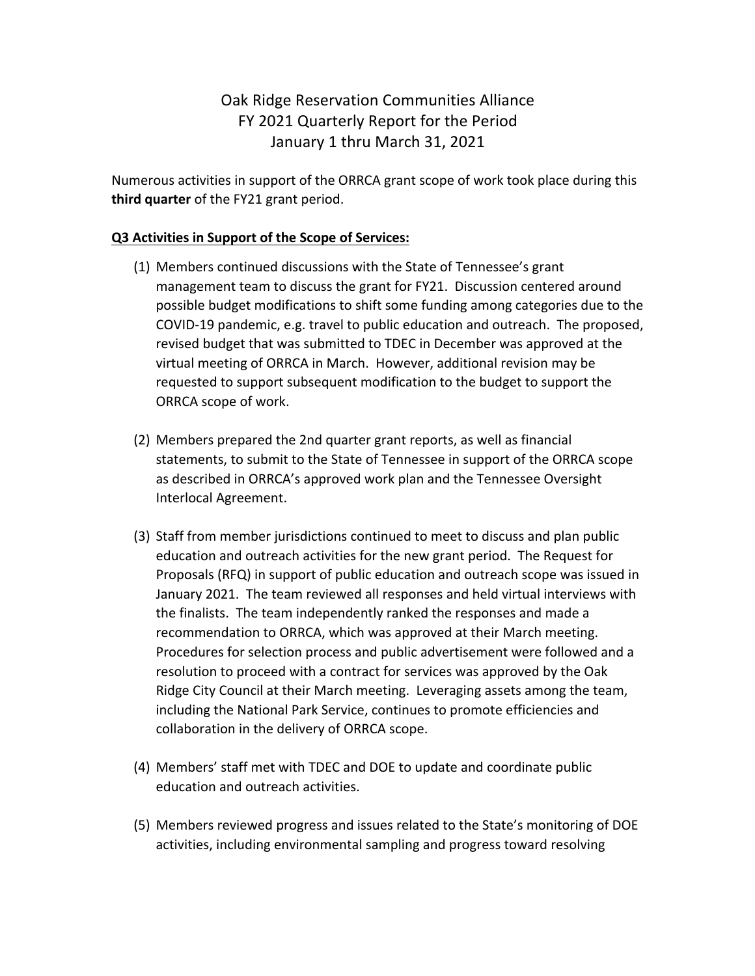## Oak Ridge Reservation Communities Alliance FY 2021 Quarterly Report for the Period January 1 thru March 31, 2021

Numerous activities in support of the ORRCA grant scope of work took place during this **third quarter** of the FY21 grant period.

## **Q3 Activities in Support of the Scope of Services:**

- (1) Members continued discussions with the State of Tennessee's grant management team to discuss the grant for FY21. Discussion centered around possible budget modifications to shift some funding among categories due to the COVID-19 pandemic, e.g. travel to public education and outreach. The proposed, revised budget that was submitted to TDEC in December was approved at the virtual meeting of ORRCA in March. However, additional revision may be requested to support subsequent modification to the budget to support the ORRCA scope of work.
- (2) Members prepared the 2nd quarter grant reports, as well as financial statements, to submit to the State of Tennessee in support of the ORRCA scope as described in ORRCA's approved work plan and the Tennessee Oversight Interlocal Agreement.
- (3) Staff from member jurisdictions continued to meet to discuss and plan public education and outreach activities for the new grant period. The Request for Proposals (RFQ) in support of public education and outreach scope was issued in January 2021. The team reviewed all responses and held virtual interviews with the finalists. The team independently ranked the responses and made a recommendation to ORRCA, which was approved at their March meeting. Procedures for selection process and public advertisement were followed and a resolution to proceed with a contract for services was approved by the Oak Ridge City Council at their March meeting. Leveraging assets among the team, including the National Park Service, continues to promote efficiencies and collaboration in the delivery of ORRCA scope.
- (4) Members' staff met with TDEC and DOE to update and coordinate public education and outreach activities.
- (5) Members reviewed progress and issues related to the State's monitoring of DOE activities, including environmental sampling and progress toward resolving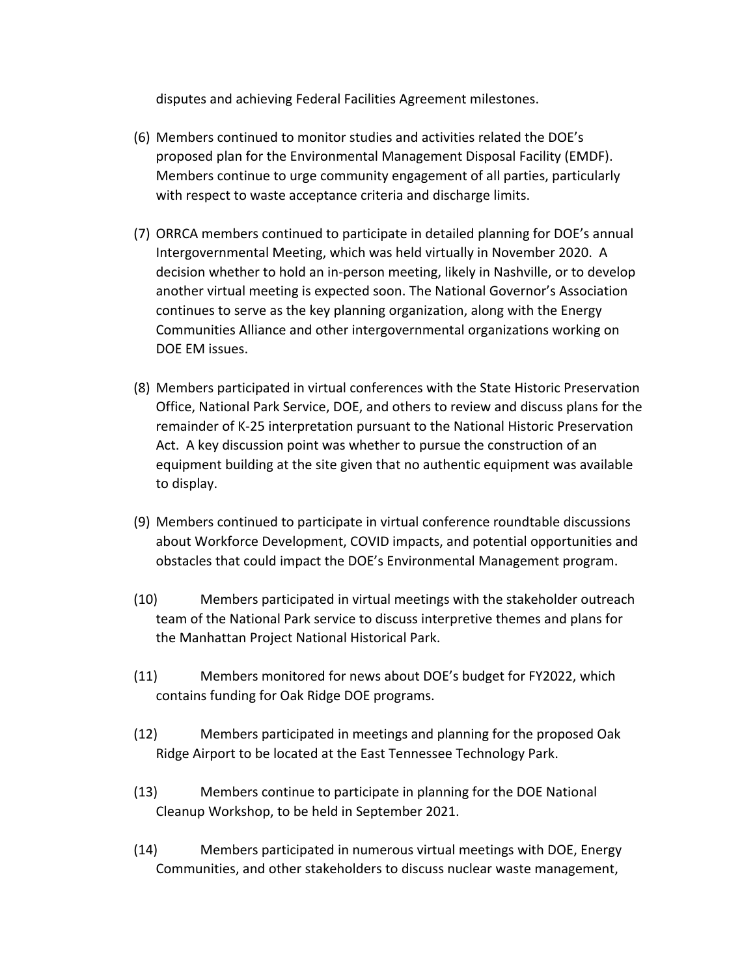disputes and achieving Federal Facilities Agreement milestones.

- (6) Members continued to monitor studies and activities related the DOE's proposed plan for the Environmental Management Disposal Facility (EMDF). Members continue to urge community engagement of all parties, particularly with respect to waste acceptance criteria and discharge limits.
- (7) ORRCA members continued to participate in detailed planning for DOE's annual Intergovernmental Meeting, which was held virtually in November 2020. A decision whether to hold an in-person meeting, likely in Nashville, or to develop another virtual meeting is expected soon. The National Governor's Association continues to serve as the key planning organization, along with the Energy Communities Alliance and other intergovernmental organizations working on DOE EM issues.
- (8) Members participated in virtual conferences with the State Historic Preservation Office, National Park Service, DOE, and others to review and discuss plans for the remainder of K-25 interpretation pursuant to the National Historic Preservation Act. A key discussion point was whether to pursue the construction of an equipment building at the site given that no authentic equipment was available to display.
- (9) Members continued to participate in virtual conference roundtable discussions about Workforce Development, COVID impacts, and potential opportunities and obstacles that could impact the DOE's Environmental Management program.
- (10) Members participated in virtual meetings with the stakeholder outreach team of the National Park service to discuss interpretive themes and plans for the Manhattan Project National Historical Park.
- (11) Members monitored for news about DOE's budget for FY2022, which contains funding for Oak Ridge DOE programs.
- (12) Members participated in meetings and planning for the proposed Oak Ridge Airport to be located at the East Tennessee Technology Park.
- (13) Members continue to participate in planning for the DOE National Cleanup Workshop, to be held in September 2021.
- (14) Members participated in numerous virtual meetings with DOE, Energy Communities, and other stakeholders to discuss nuclear waste management,